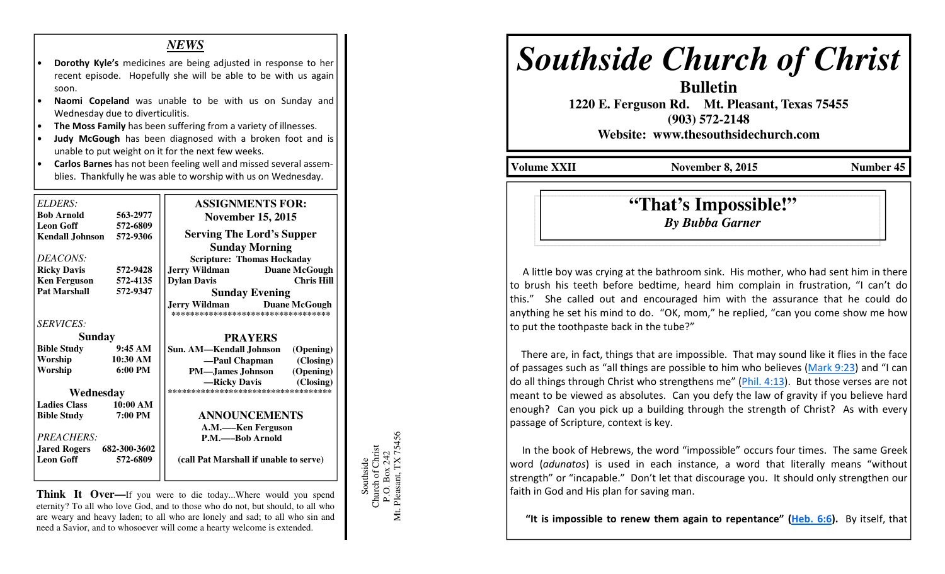## *NEWS*

- Dorothy Kyle's medicines are being adjusted in response to her recent episode. Hopefully she will be able to be with us again soon.
- Naomi Copeland was unable to be with us on Sunday and Wednesday due to diverticulitis.
- The Moss Family has been suffering from a variety of illnesses.
- Judy McGough has been diagnosed with a broken foot and is unable to put weight on it for the next few weeks.
- Carlos Barnes has not been feeling well and missed several assemblies. Thankfully he was able to worship with us on Wednesday.

| <b>ELDERS:</b>                   |                   | <b>ASSIGNMENTS FOR:</b>                                                            |
|----------------------------------|-------------------|------------------------------------------------------------------------------------|
| <b>Bob Arnold</b>                | 563-2977          | <b>November 15, 2015</b>                                                           |
| <b>Leon Goff</b>                 | 572-6809          |                                                                                    |
| Kendall Johnson 572-9306         |                   | <b>Serving The Lord's Supper</b>                                                   |
|                                  |                   | <b>Sunday Morning</b>                                                              |
| DEACONS:                         |                   | <b>Scripture: Thomas Hockaday</b>                                                  |
| <b>Ricky Davis</b>               | 572-9428          | <b>Jerry Wildman</b><br><b>Duane McGough</b>                                       |
| <b>Ken Ferguson</b>              | 572-4135          | <b>Chris Hill</b><br><b>Dylan Davis</b>                                            |
| <b>Pat Marshall</b>              | 572-9347          | <b>Sunday Evening</b>                                                              |
|                                  |                   | <b>Jerry Wildman</b><br><b>Duane McGough</b><br>********************************** |
| <b>SERVICES:</b>                 |                   |                                                                                    |
| <b>Sunday</b>                    |                   | <b>PRAYERS</b>                                                                     |
| <b>Bible Study</b>               | 9:45AM            | Sun. AM—Kendall Johnson<br>(Opening)                                               |
| Worship                          | 10:30 AM          | —Paul Chapman<br>(Closing)                                                         |
| Worship                          | $6:00 \text{ PM}$ | <b>PM—James Johnson</b><br>(Opening)                                               |
|                                  |                   | -Ricky Davis (Closing)                                                             |
| Wednesday                        |                   | ***********************************                                                |
| <b>Ladies Class</b>              | 10:00 AM          |                                                                                    |
| <b>Bible Study</b>               | 7:00 PM           | <b>ANNOUNCEMENTS</b>                                                               |
|                                  |                   | A.M.—Ken Ferguson                                                                  |
| PREACHERS:                       |                   | P.M.——Bob Arnold                                                                   |
| <b>Jared Rogers</b> 682-300-3602 |                   |                                                                                    |
| <b>Leon Goff</b>                 | 572-6809          | (call Pat Marshall if unable to serve)                                             |
|                                  |                   |                                                                                    |

**Think It Over—**If you were to die today...Where would you spend eternity? To all who love God, and to those who do not, but should, to all who are weary and heavy laden; to all who are lonely and sad; to all who sin and need a Savior, and to whosoever will come a hearty welcome is extended.



# *Southside Church of Christ*

 **1220 E. Ferguson Rd. Mt. Pleasant, Texas 75455 (903) 572-2148** 

**Bulletin** 

**Website: www.thesouthsidechurch.com** 

**Volume XXII** November 8, 2015 Number 45

**"That's Impossible!"***By Bubba Garner* 

 A little boy was crying at the bathroom sink. His mother, who had sent him in there to brush his teeth before bedtime, heard him complain in frustration, "I can't do this." She called out and encouraged him with the assurance that he could do anything he set his mind to do. "OK, mom," he replied, "can you come show me how to put the toothpaste back in the tube?"

 There are, in fact, things that are impossible. That may sound like it flies in the face of passages such as "all things are possible to him who believes (Mark 9:23) and "I can do all things through Christ who strengthens me" (Phil. 4:13). But those verses are not meant to be viewed as absolutes. Can you defy the law of gravity if you believe hard enough? Can you pick up a building through the strength of Christ? As with every passage of Scripture, context is key.

 In the book of Hebrews, the word "impossible" occurs four times. The same Greek word (adunatos) is used in each instance, a word that literally means "without strength" or "incapable." Don't let that discourage you. It should only strengthen our faith in God and His plan for saving man.

"It is impossible to renew them again to repentance" (Heb.  $6:6$ ). By itself, that